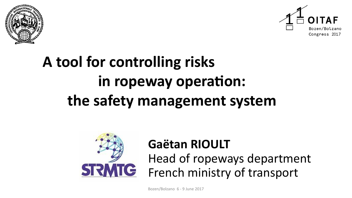



# **A tool for controlling risks in ropeway operation: the safety management system**



# **Gaëtan RIOULT**

Head of ropeways department French ministry of transport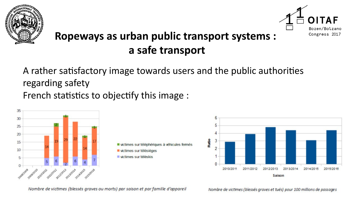



#### **Ropeways as urban public transport systems : a safe transport**

A rather satisfactory image towards users and the public authorities regarding safety French statistics to objectify this image :





Nombre de victimes (blessés graves ou morts) par saison et par famille d'appareil

Nombre de victimes (blessés graves et tués) pour 100 millions de passages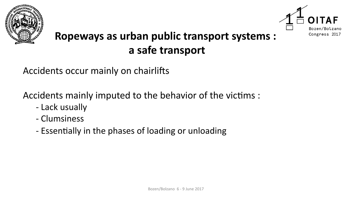



## **Ropeways as urban public transport systems : a safe transport**

Accidents occur mainly on chairlifts

Accidents mainly imputed to the behavior of the victims :

- Lack usually
- Clumsiness
- Essentially in the phases of loading or unloading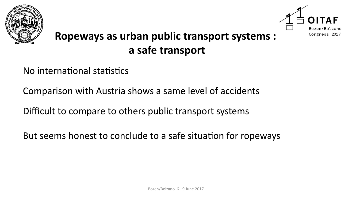



## **Ropeways as urban public transport systems : a safe transport**

No international statistics

Comparison with Austria shows a same level of accidents

Difficult to compare to others public transport systems

But seems honest to conclude to a safe situation for ropeways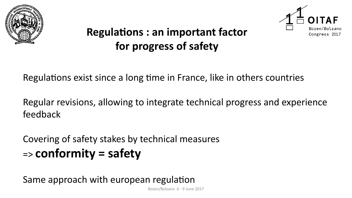



## **Regulations : an important factor for progress of safety**

Regulations exist since a long time in France, like in others countries

Regular revisions, allowing to integrate technical progress and experience feedback

Covering of safety stakes by technical measures => **conformity = safety**

Same approach with european regulation

Bozen/Bolzano 6 - 9 June 2017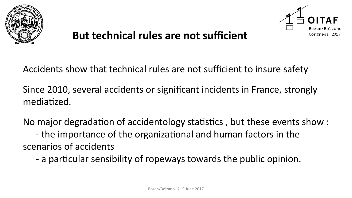



#### **But technical rules are not sufficient**

Accidents show that technical rules are not sufficient to insure safety

Since 2010, several accidents or significant incidents in France, strongly mediatized.

No major degradation of accidentology statistics , but these events show : - the importance of the organizational and human factors in the scenarios of accidents

- a particular sensibility of ropeways towards the public opinion.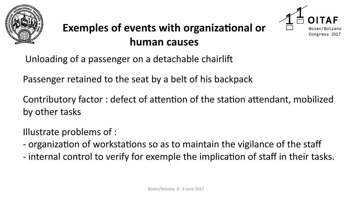



Unloading of a passenger on a detachable chairlift

Passenger retained to the seat by a belt of his backpack

Contributory factor : defect of attention of the station attendant, mobilized by other tasks

Illustrate problems of :

- organization of workstations so as to maintain the vigilance of the staf
- internal control to verify for exemple the implication of staff in their tasks.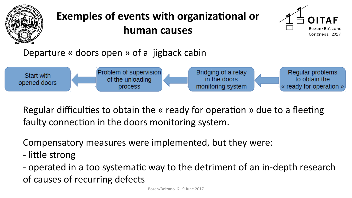



#### Departure « doors open » of a jigback cabin



Regular difficulties to obtain the « ready for operation » due to a fleeting faulty connection in the doors monitoring system.

Compensatory measures were implemented, but they were:

- little strong
- operated in a too systematic way to the detriment of an in-depth research of causes of recurring defects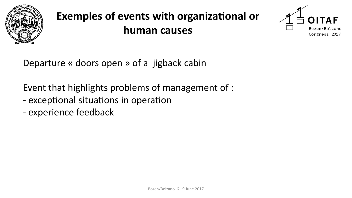



Departure « doors open » of a jigback cabin

Event that highlights problems of management of :

- exceptional situations in operation
- experience feedback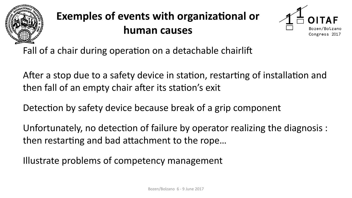



Fall of a chair during operation on a detachable chairlift

After a stop due to a safety device in station, restarting of installation and then fall of an empty chair after its station's exit

Detection by safety device because break of a grip component

Unfortunately, no detection of failure by operator realizing the diagnosis : then restarting and bad attachment to the rope…

Illustrate problems of competency management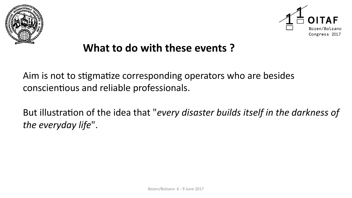



#### **What to do with these events ?**

Aim is not to stigmatize corresponding operators who are besides conscientious and reliable professionals.

But illustration of the idea that "*every disaster builds itself in the darkness of the everyday life*".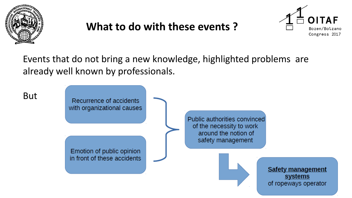

## **What to do with these events ?**



Events that do not bring a new knowledge, highlighted problems are already well known by professionals.

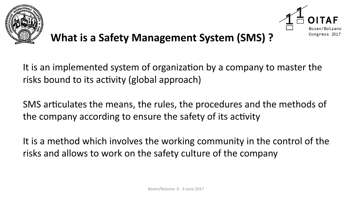



#### **What is a Safety Management System (SMS) ?**

It is an implemented system of organization by a company to master the risks bound to its activity (global approach)

SMS articulates the means, the rules, the procedures and the methods of the company according to ensure the safety of its activity

It is a method which involves the working community in the control of the risks and allows to work on the safety culture of the company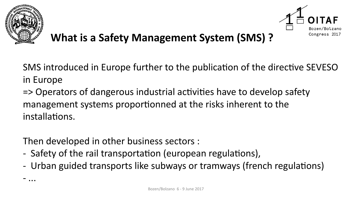

- ...



#### **What is a Safety Management System (SMS) ?**

SMS introduced in Europe further to the publication of the directive SEVESO in Europe

=> Operators of dangerous industrial activities have to develop safety management systems proportionned at the risks inherent to the installations.

Then developed in other business sectors :

- Safety of the rail transportation (european regulations),
- Urban guided transports like subways or tramways (french regulations)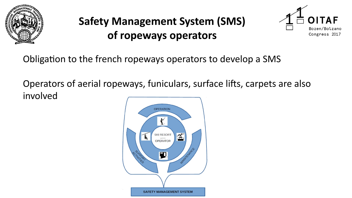



Obligation to the french ropeways operators to develop a SMS

Operators of aerial ropeways, funiculars, surface lifts, carpets are also involved

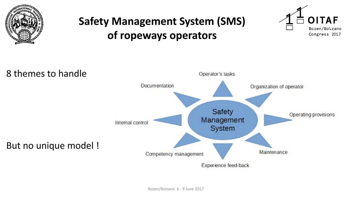





Bozen/Bolzano 6 - 9 June 2017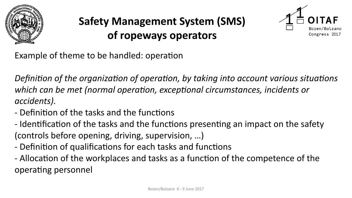



Example of theme to be handled: operation

*Definition of the organization of operation, by taking into account various situations which can be met (normal operation, exceptional circumstances, incidents or accidents).*

- Definition of the tasks and the functions
- Identification of the tasks and the functions presenting an impact on the safety (controls before opening, driving, supervision, …)
- Definition of qualifications for each tasks and functions
- Allocation of the workplaces and tasks as a function of the competence of the operating personnel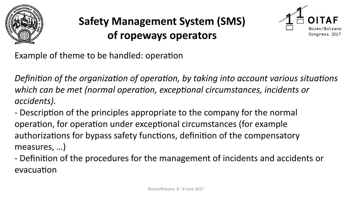



Example of theme to be handled: operation

*Definition of the organization of operation, by taking into account various situations which can be met (normal operation, exceptional circumstances, incidents or accidents).*

- Description of the principles appropriate to the company for the normal operation, for operation under exceptional circumstances (for example authorizations for bypass safety functions, definition of the compensatory measures, …)

- Definition of the procedures for the management of incidents and accidents or evacuation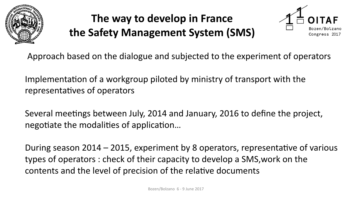

# **The way to develop in France the Safety Management System (SMS)**



Approach based on the dialogue and subjected to the experiment of operators

Implementation of a workgroup piloted by ministry of transport with the representatives of operators

Several meetings between July, 2014 and January, 2016 to define the project, negotiate the modalities of application…

During season 2014 – 2015, experiment by 8 operators, representative of various types of operators : check of their capacity to develop a SMS,work on the contents and the level of precision of the relative documents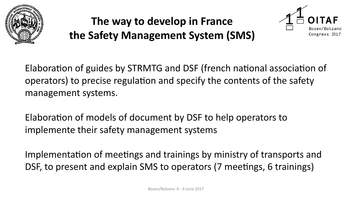

# **The way to develop in France the Safety Management System (SMS)**



Elaboration of guides by STRMTG and DSF (french national association of operators) to precise regulation and specify the contents of the safety management systems.

Elaboration of models of document by DSF to help operators to implemente their safety management systems

Implementation of meetings and trainings by ministry of transports and DSF, to present and explain SMS to operators (7 meetings, 6 trainings)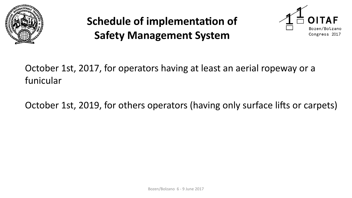

# **Schedule of implementation of Safety Management System**



October 1st, 2017, for operators having at least an aerial ropeway or a funicular

October 1st, 2019, for others operators (having only surface lifts or carpets)